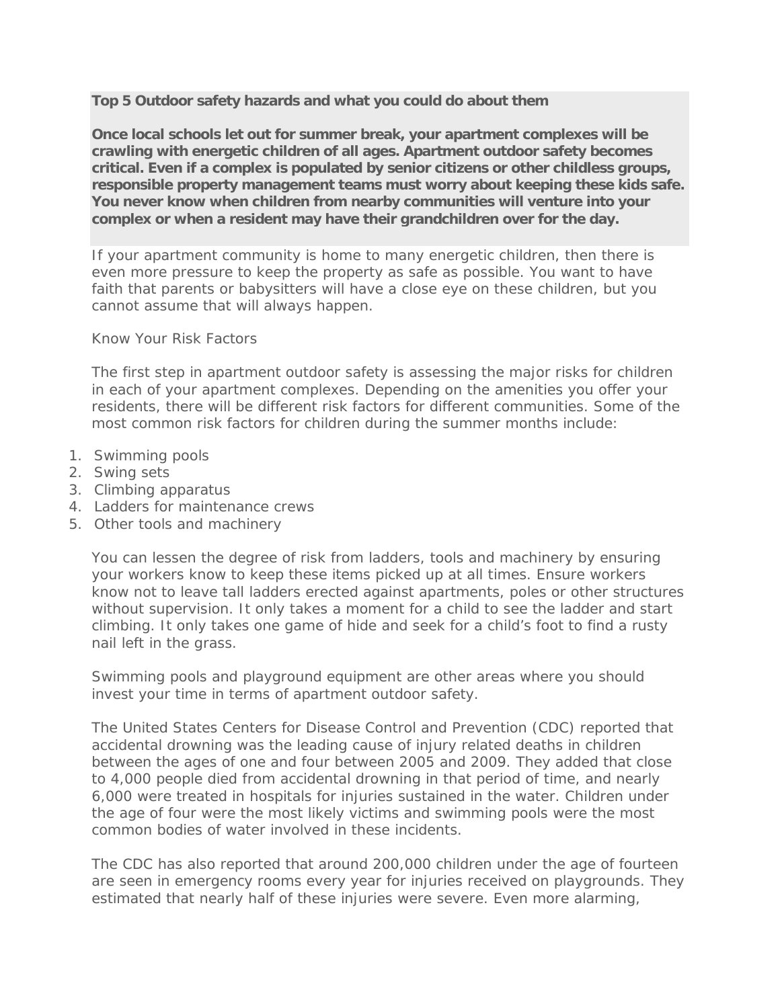**Top 5 Outdoor safety hazards and what you could do about them**

**Once local schools let out for summer break, your apartment complexes will be crawling with energetic children of all ages. Apartment outdoor safety becomes critical. Even if a complex is populated by senior citizens or other childless groups, responsible property management teams must worry about keeping these kids safe. You never know when children from nearby communities will venture into your complex or when a resident may have their grandchildren over for the day.**

If your apartment community is home to many energetic children, then there is even more pressure to keep the property as safe as possible. You want to have faith that parents or babysitters will have a close eye on these children, but you cannot assume that will always happen.

Know Your Risk Factors

The first step in apartment outdoor safety is assessing the major risks for children in each of your apartment complexes. Depending on the amenities you offer your residents, there will be different risk factors for different communities. Some of the most common risk factors for children during the summer months include:

- 1. Swimming pools
- 2. Swing sets
- 3. Climbing apparatus
- 4. Ladders for maintenance crews
- 5. Other tools and machinery

You can lessen the degree of risk from ladders, tools and machinery by ensuring your workers know to keep these items picked up at all times. Ensure workers know not to leave tall ladders erected against apartments, poles or other structures without supervision. It only takes a moment for a child to see the ladder and start climbing. It only takes one game of hide and seek for a child's foot to find a rusty nail left in the grass.

Swimming pools and playground equipment are other areas where you should invest your time in terms of apartment outdoor safety.

The United States Centers for Disease Control and Prevention (CDC) reported that accidental drowning was the leading cause of injury related deaths in children between the ages of one and four between 2005 and 2009. They added that close to 4,000 people died from accidental drowning in that period of time, and nearly 6,000 were treated in hospitals for injuries sustained in the water. Children under the age of four were the most likely victims and swimming pools were the most common bodies of water involved in these incidents.

The CDC has also reported that around 200,000 children under the age of fourteen are seen in emergency rooms every year for injuries received on playgrounds. They estimated that nearly half of these injuries were severe. Even more alarming,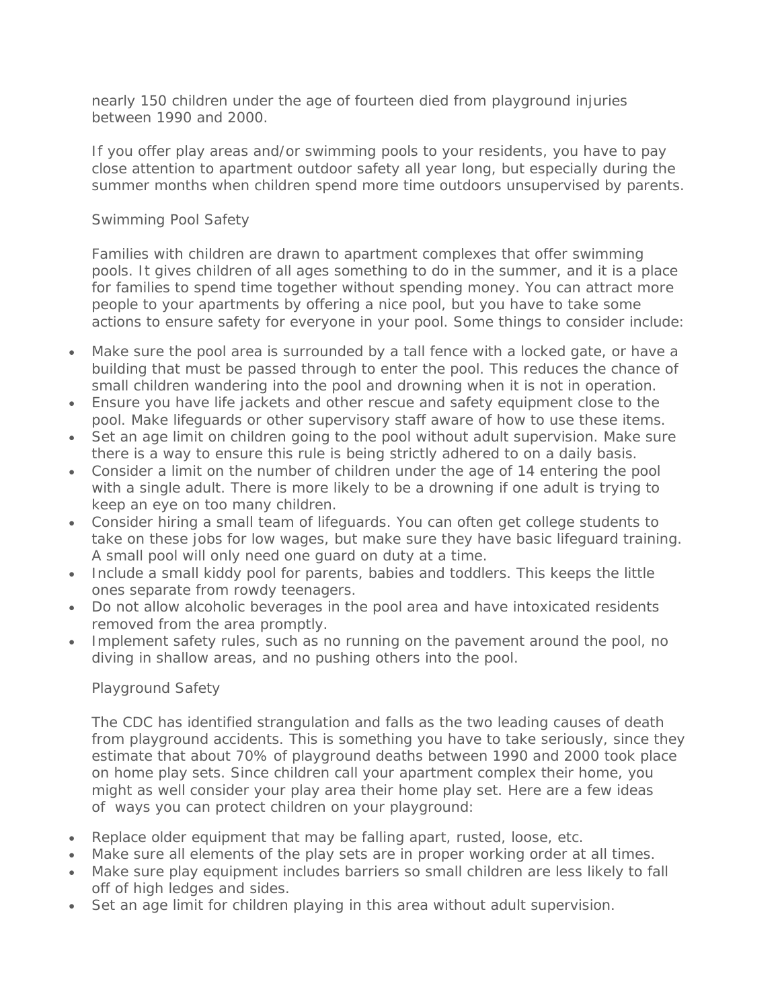nearly 150 children under the age of fourteen died from playground injuries between 1990 and 2000.

If you offer play areas and/or swimming pools to your residents, you have to pay close attention to apartment outdoor safety all year long, but especially during the summer months when children spend more time outdoors unsupervised by parents.

## Swimming Pool Safety

Families with children are drawn to apartment complexes that offer swimming pools. It gives children of all ages something to do in the summer, and it is a place for families to spend time together without spending money. You can attract more people to your apartments by offering a nice pool, but you have to take some actions to ensure safety for everyone in your pool. Some things to consider include:

- Make sure the pool area is surrounded by a tall fence with a locked gate, or have a building that must be passed through to enter the pool. This reduces the chance of small children wandering into the pool and drowning when it is not in operation.
- Ensure you have life jackets and other rescue and safety equipment close to the pool. Make lifeguards or other supervisory staff aware of how to use these items.
- Set an age limit on children going to the pool without adult supervision. Make sure there is a way to ensure this rule is being strictly adhered to on a daily basis.
- Consider a limit on the number of children under the age of 14 entering the pool with a single adult. There is more likely to be a drowning if one adult is trying to keep an eye on too many children.
- Consider hiring a small team of lifeguards. You can often get college students to take on these jobs for low wages, but make sure they have basic lifeguard training. A small pool will only need one guard on duty at a time.
- Include a small kiddy pool for parents, babies and toddlers. This keeps the little ones separate from rowdy teenagers.
- Do not allow alcoholic beverages in the pool area and have intoxicated residents removed from the area promptly.
- Implement safety rules, such as no running on the pavement around the pool, no diving in shallow areas, and no pushing others into the pool.

## Playground Safety

The CDC has identified strangulation and falls as the two leading causes of death from playground accidents. This is something you have to take seriously, since they estimate that about 70% of playground deaths between 1990 and 2000 took place on home play sets. Since children call your apartment complex their home, you might as well consider your play area their home play set. Here are a few ideas of ways you can protect children on your playground:

- Replace older equipment that may be falling apart, rusted, loose, etc.
- Make sure all elements of the play sets are in proper working order at all times.
- Make sure play equipment includes barriers so small children are less likely to fall off of high ledges and sides.
- Set an age limit for children playing in this area without adult supervision.